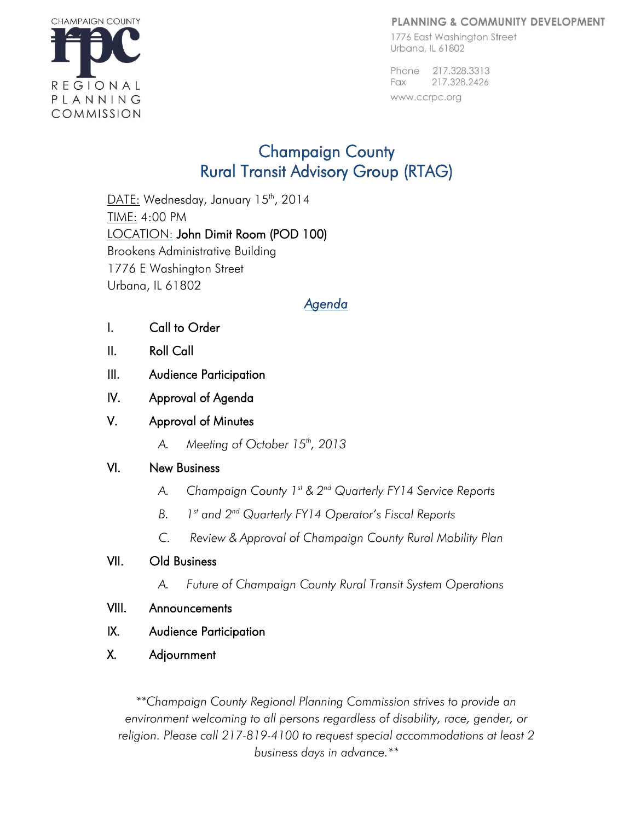#### PLANNING & COMMUNITY DEVELOPMENT

1776 East Washington Street Urbana, IL 61802

Phone 217,328,3313 217.328.2426 Fax www.ccrpc.org



# Champaign County Rural Transit Advisory Group (RTAG)

DATE: Wednesday, January 15<sup>th</sup>, 2014 TIME: 4:00 PM LOCATION: John Dimit Room (POD 100) Brookens Administrative Building 1776 E Washington Street Urbana, IL 61802

## *Agenda*

- I. Call to Order
- II. Roll Call
- III. Audience Participation
- IV. Approval of Agenda
- V. Approval of Minutes
	- *A. Meeting of October 15th, 2013*

### VI. New Business

- *A. Champaign County 1st & 2 nd Quarterly FY14 Service Reports*
- *B. 1 st and 2nd Quarterly FY14 Operator's Fiscal Reports*
- *C. Review & Approval of Champaign County Rural Mobility Plan*

### VII. Old Business

- *A. Future of Champaign County Rural Transit System Operations*
- VIII. Announcements
- IX. Audience Participation
- X. Adjournment

*\*\*Champaign County Regional Planning Commission strives to provide an environment welcoming to all persons regardless of disability, race, gender, or religion. Please call 217-819-4100 to request special accommodations at least 2 business days in advance.\*\**